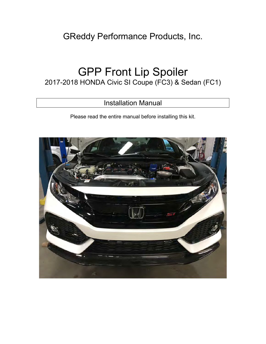## GReddy Performance Products, Inc.

# GPP Front Lip Spoiler

## 2017-2018 HONDA Civic SI Coupe (FC3) & Sedan (FC1)

## Installation Manual

Please read the entire manual before installing this kit.

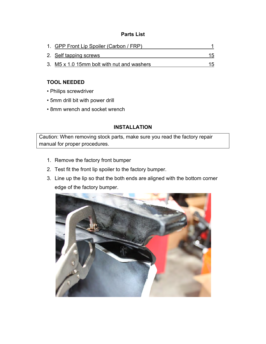#### **Parts List**

| 1. GPP Front Lip Spoiler (Carbon / FRP)    |    |
|--------------------------------------------|----|
| 2. Self tapping screws                     | 15 |
| 3. M5 x 1.0 15mm bolt with nut and washers | 15 |

#### **TOOL NEEDED**

- Philips screwdriver
- 5mm drill bit with power drill
- 8mm wrench and socket wrench

### **INSTALLATION**

Caution: When removing stock parts, make sure you read the factory repair manual for proper procedures.

- 1. Remove the factory front bumper
- 2. Test fit the front lip spoiler to the factory bumper.
- 3. Line up the lip so that the both ends are aligned with the bottom corner edge of the factory bumper.

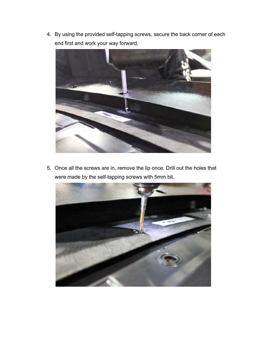4. By using the provided self-tapping screws, secure the back corner of each end first and work your way forward.



5. Once all the screws are in, remove the lip once. Drill out the holes that were made by the self-tapping screws with 5mm bit.

![](_page_2_Picture_3.jpeg)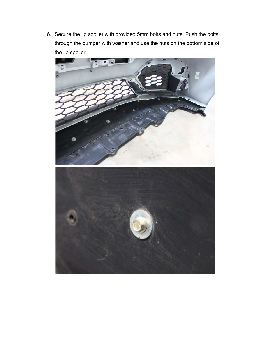6. Secure the lip spoiler with provided 5mm bolts and nuts. Push the bolts through the bumper with washer and use the nuts on the bottom side of the lip spoiler.

![](_page_3_Picture_1.jpeg)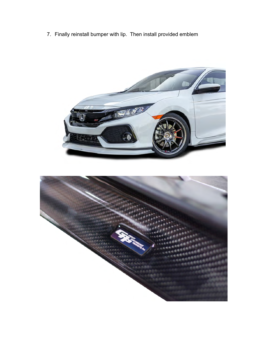7. Finally reinstall bumper with lip. Then install provided emblem

![](_page_4_Picture_1.jpeg)

![](_page_4_Picture_2.jpeg)